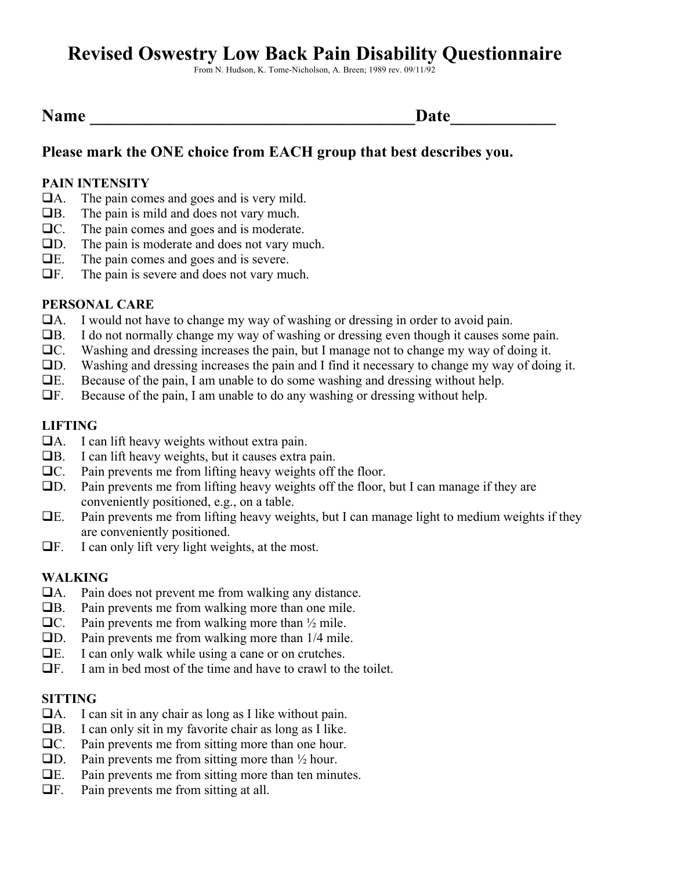# **Revised Oswestry Low Back Pain Disability Questionnaire**

From N. Hudson, K. Tome-Nicholson, A. Breen; 1989 rev. 09/11/92

|  | ame |  |
|--|-----|--|
|--|-----|--|

# **Please mark the ONE choice from EACH group that best describes you.**

## **PAIN INTENSITY**

- $\Box$ A. The pain comes and goes and is very mild.
- $\Box$ B. The pain is mild and does not vary much.
- $\Box$ C. The pain comes and goes and is moderate.<br> $\Box$ D. The pain is moderate and does not vary mu
- The pain is moderate and does not vary much.
- $\Box E$ . The pain comes and goes and is severe.
- $\Box$ F. The pain is severe and does not vary much.

## **PERSONAL CARE**

- !A. I would not have to change my way of washing or dressing in order to avoid pain.
- $\Box$ B. I do not normally change my way of washing or dressing even though it causes some pain.
- !C. Washing and dressing increases the pain, but I manage not to change my way of doing it.
- !D. Washing and dressing increases the pain and I find it necessary to change my way of doing it.
- !E. Because of the pain, I am unable to do some washing and dressing without help.
- $\Box$  F. Because of the pain, I am unable to do any washing or dressing without help.

## **LIFTING**

- $\Box A$ . I can lift heavy weights without extra pain.
- $\Box$ B. I can lift heavy weights, but it causes extra pain.
- $\Box$ C. Pain prevents me from lifting heavy weights off the floor.
- !D. Pain prevents me from lifting heavy weights off the floor, but I can manage if they are conveniently positioned, e.g., on a table.
- $\Box$  Pain prevents me from lifting heavy weights, but I can manage light to medium weights if they are conveniently positioned.
- $\Box$  F. I can only lift very light weights, at the most.

## **WALKING**

- $\Box$ A. Pain does not prevent me from walking any distance.
- $\Box$ B. Pain prevents me from walking more than one mile.
- $\Box$ C. Pain prevents me from walking more than  $\frac{1}{2}$  mile.
- $\Box$ D. Pain prevents me from walking more than  $1/4$  mile.
- $\Box$  E. I can only walk while using a cane or on crutches.
- $\Box$  F. I am in bed most of the time and have to crawl to the toilet.

## **SITTING**

- $\Box$ A. I can sit in any chair as long as I like without pain.
- $\Box$ B. I can only sit in my favorite chair as long as I like.
- $\Box$ C. Pain prevents me from sitting more than one hour.
- $\Box$ D. Pain prevents me from sitting more than  $\frac{1}{2}$  hour.
- $\Box$  E. Pain prevents me from sitting more than ten minutes.
- $\Box$ F. Pain prevents me from sitting at all.